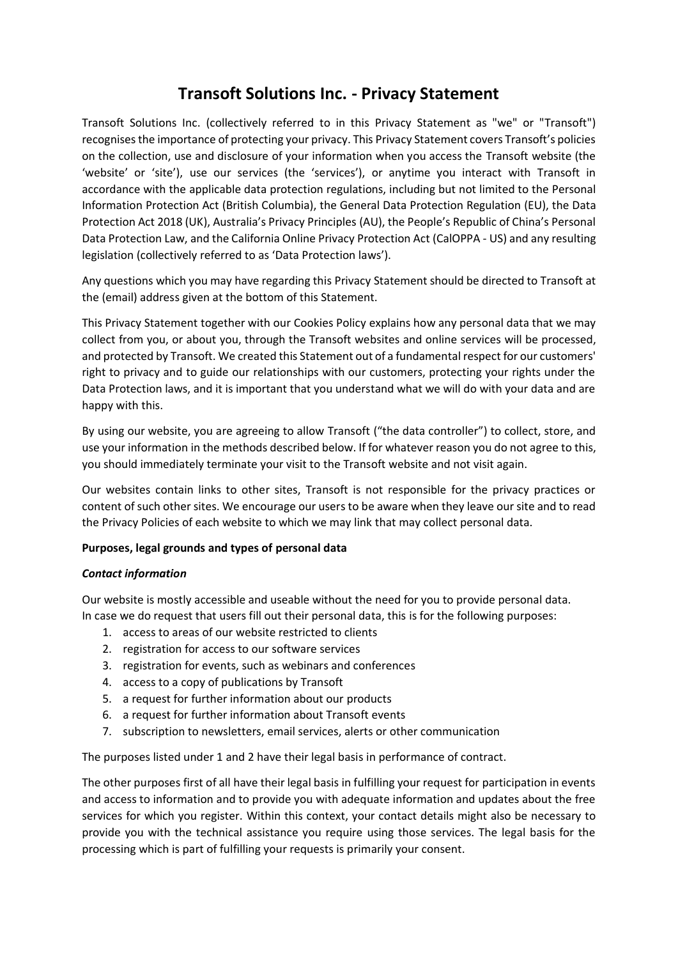# **Transoft Solutions Inc. - Privacy Statement**

Transoft Solutions Inc. (collectively referred to in this Privacy Statement as "we" or "Transoft") recognises the importance of protecting your privacy. This Privacy Statement covers Transoft's policies on the collection, use and disclosure of your information when you access the Transoft website (the 'website' or 'site'), use our services (the 'services'), or anytime you interact with Transoft in accordance with the applicable data protection regulations, including but not limited to the Personal Information Protection Act (British Columbia), the General Data Protection Regulation (EU), the Data Protection Act 2018 (UK), Australia's Privacy Principles (AU), the People's Republic of China's Personal Data Protection Law, and the California Online Privacy Protection Act (CalOPPA - US) and any resulting legislation (collectively referred to as 'Data Protection laws').

Any questions which you may have regarding this Privacy Statement should be directed to Transoft at the (email) address given at the bottom of this Statement.

This Privacy Statement together with our Cookies Policy explains how any personal data that we may collect from you, or about you, through the Transoft websites and online services will be processed, and protected by Transoft. We created this Statement out of a fundamental respect for our customers' right to privacy and to guide our relationships with our customers, protecting your rights under the Data Protection laws, and it is important that you understand what we will do with your data and are happy with this.

By using our website, you are agreeing to allow Transoft ("the data controller") to collect, store, and use your information in the methods described below. If for whatever reason you do not agree to this, you should immediately terminate your visit to the Transoft website and not visit again.

Our websites contain links to other sites, Transoft is not responsible for the privacy practices or content of such other sites. We encourage our users to be aware when they leave our site and to read the Privacy Policies of each website to which we may link that may collect personal data.

# **Purposes, legal grounds and types of personal data**

#### *Contact information*

Our website is mostly accessible and useable without the need for you to provide personal data. In case we do request that users fill out their personal data, this is for the following purposes:

- 1. access to areas of our website restricted to clients
- 2. registration for access to our software services
- 3. registration for events, such as webinars and conferences
- 4. access to a copy of publications by Transoft
- 5. a request for further information about our products
- 6. a request for further information about Transoft events
- 7. subscription to newsletters, email services, alerts or other communication

The purposes listed under 1 and 2 have their legal basis in performance of contract.

The other purposes first of all have their legal basis in fulfilling your request for participation in events and access to information and to provide you with adequate information and updates about the free services for which you register. Within this context, your contact details might also be necessary to provide you with the technical assistance you require using those services. The legal basis for the processing which is part of fulfilling your requests is primarily your consent.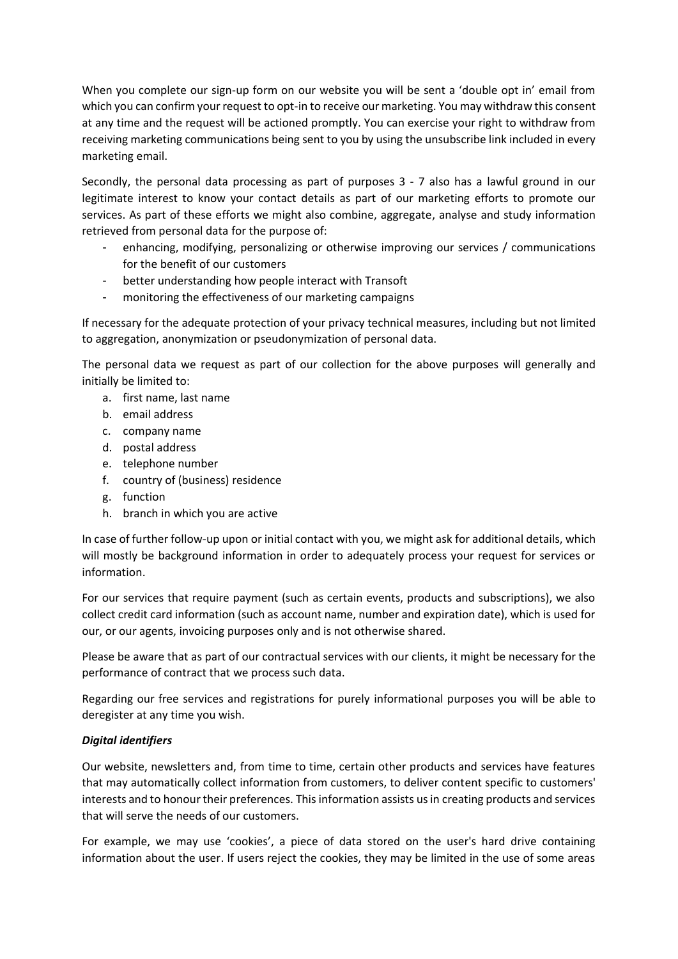When you complete our sign-up form on our website you will be sent a 'double opt in' email from which you can confirm your request to opt-in to receive our marketing. You may withdraw this consent at any time and the request will be actioned promptly. You can exercise your right to withdraw from receiving marketing communications being sent to you by using the unsubscribe link included in every marketing email.

Secondly, the personal data processing as part of purposes 3 - 7 also has a lawful ground in our legitimate interest to know your contact details as part of our marketing efforts to promote our services. As part of these efforts we might also combine, aggregate, analyse and study information retrieved from personal data for the purpose of:

- enhancing, modifying, personalizing or otherwise improving our services / communications for the benefit of our customers
- better understanding how people interact with Transoft
- monitoring the effectiveness of our marketing campaigns

If necessary for the adequate protection of your privacy technical measures, including but not limited to aggregation, anonymization or pseudonymization of personal data.

The personal data we request as part of our collection for the above purposes will generally and initially be limited to:

- a. first name, last name
- b. email address
- c. company name
- d. postal address
- e. telephone number
- f. country of (business) residence
- g. function
- h. branch in which you are active

In case of further follow-up upon or initial contact with you, we might ask for additional details, which will mostly be background information in order to adequately process your request for services or information.

For our services that require payment (such as certain events, products and subscriptions), we also collect credit card information (such as account name, number and expiration date), which is used for our, or our agents, invoicing purposes only and is not otherwise shared.

Please be aware that as part of our contractual services with our clients, it might be necessary for the performance of contract that we process such data.

Regarding our free services and registrations for purely informational purposes you will be able to deregister at any time you wish.

# *Digital identifiers*

Our website, newsletters and, from time to time, certain other products and services have features that may automatically collect information from customers, to deliver content specific to customers' interests and to honour their preferences. This information assists us in creating products and services that will serve the needs of our customers.

For example, we may use 'cookies', a piece of data stored on the user's hard drive containing information about the user. If users reject the cookies, they may be limited in the use of some areas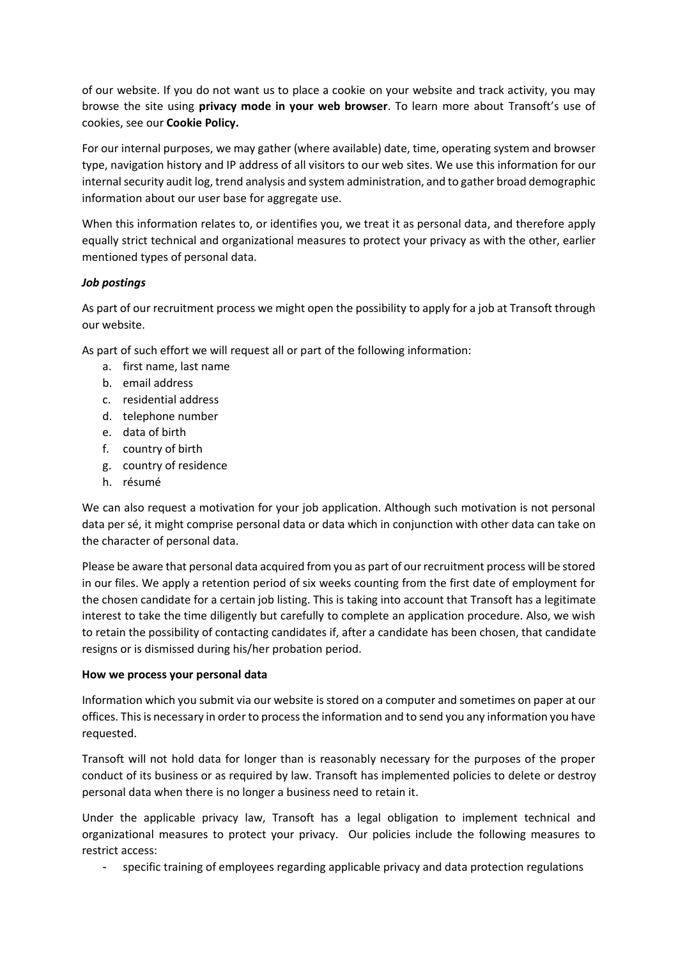of our website. If you do not want us to place a cookie on your website and track activity, you may browse the site using **privacy mode in your web browser**. To learn more about Transoft's use of cookies, see our **Cookie Policy.**

For our internal purposes, we may gather (where available) date, time, operating system and browser type, navigation history and IP address of all visitors to our web sites. We use this information for our internal security audit log, trend analysis and system administration, and to gather broad demographic information about our user base for aggregate use.

When this information relates to, or identifies you, we treat it as personal data, and therefore apply equally strict technical and organizational measures to protect your privacy as with the other, earlier mentioned types of personal data.

# *Job postings*

As part of our recruitment process we might open the possibility to apply for a job at Transoft through our website.

As part of such effort we will request all or part of the following information:

- a. first name, last name
- b. email address
- c. residential address
- d. telephone number
- e. data of birth
- f. country of birth
- g. country of residence
- h. résumé

We can also request a motivation for your job application. Although such motivation is not personal data per sé, it might comprise personal data or data which in conjunction with other data can take on the character of personal data.

Please be aware that personal data acquired from you as part of our recruitment process will be stored in our files. We apply a retention period of six weeks counting from the first date of employment for the chosen candidate for a certain job listing. This is taking into account that Transoft has a legitimate interest to take the time diligently but carefully to complete an application procedure. Also, we wish to retain the possibility of contacting candidates if, after a candidate has been chosen, that candidate resigns or is dismissed during his/her probation period.

#### **How we process your personal data**

Information which you submit via our website is stored on a computer and sometimes on paper at our offices. This is necessary in order to process the information and to send you any information you have requested.

Transoft will not hold data for longer than is reasonably necessary for the purposes of the proper conduct of its business or as required by law. Transoft has implemented policies to delete or destroy personal data when there is no longer a business need to retain it.

Under the applicable privacy law, Transoft has a legal obligation to implement technical and organizational measures to protect your privacy. Our policies include the following measures to restrict access:

specific training of employees regarding applicable privacy and data protection regulations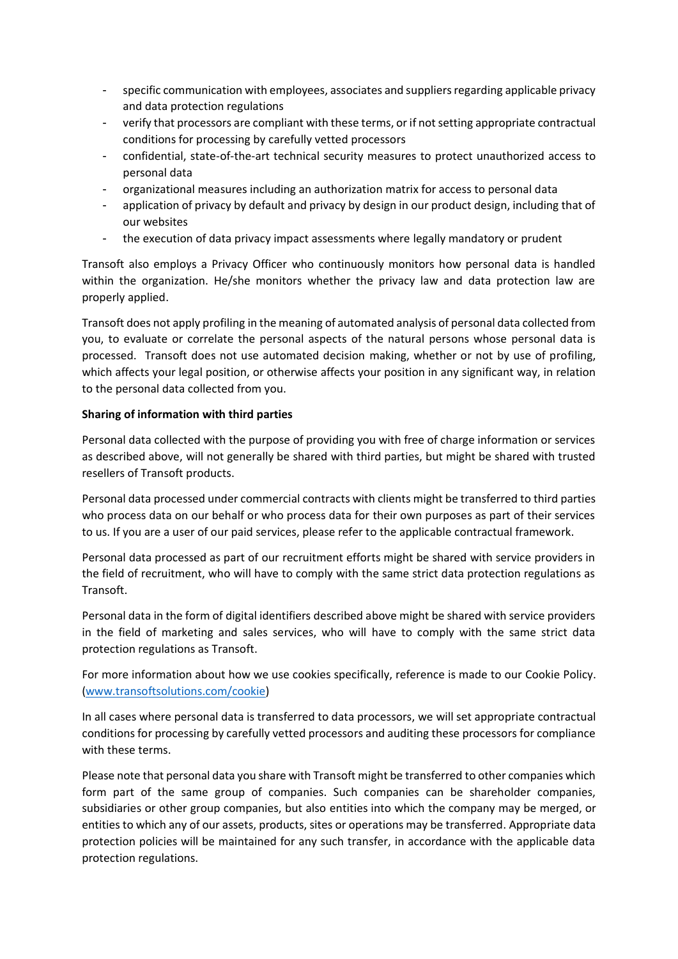- specific communication with employees, associates and suppliers regarding applicable privacy and data protection regulations
- verify that processors are compliant with these terms, or if not setting appropriate contractual conditions for processing by carefully vetted processors
- confidential, state-of-the-art technical security measures to protect unauthorized access to personal data
- organizational measures including an authorization matrix for access to personal data
- application of privacy by default and privacy by design in our product design, including that of our websites
- the execution of data privacy impact assessments where legally mandatory or prudent

Transoft also employs a Privacy Officer who continuously monitors how personal data is handled within the organization. He/she monitors whether the privacy law and data protection law are properly applied.

Transoft does not apply profiling in the meaning of automated analysis of personal data collected from you, to evaluate or correlate the personal aspects of the natural persons whose personal data is processed. Transoft does not use automated decision making, whether or not by use of profiling, which affects your legal position, or otherwise affects your position in any significant way, in relation to the personal data collected from you.

## **Sharing of information with third parties**

Personal data collected with the purpose of providing you with free of charge information or services as described above, will not generally be shared with third parties, but might be shared with trusted resellers of Transoft products.

Personal data processed under commercial contracts with clients might be transferred to third parties who process data on our behalf or who process data for their own purposes as part of their services to us. If you are a user of our paid services, please refer to the applicable contractual framework.

Personal data processed as part of our recruitment efforts might be shared with service providers in the field of recruitment, who will have to comply with the same strict data protection regulations as Transoft.

Personal data in the form of digital identifiers described above might be shared with service providers in the field of marketing and sales services, who will have to comply with the same strict data protection regulations as Transoft.

For more information about how we use cookies specifically, reference is made to our Cookie Policy. [\(www.transoftsolutions.com/cookie\)](http://www.transoftsolutions.com/cookie)

In all cases where personal data is transferred to data processors, we will set appropriate contractual conditions for processing by carefully vetted processors and auditing these processors for compliance with these terms.

Please note that personal data you share with Transoft might be transferred to other companies which form part of the same group of companies. Such companies can be shareholder companies, subsidiaries or other group companies, but also entities into which the company may be merged, or entities to which any of our assets, products, sites or operations may be transferred. Appropriate data protection policies will be maintained for any such transfer, in accordance with the applicable data protection regulations.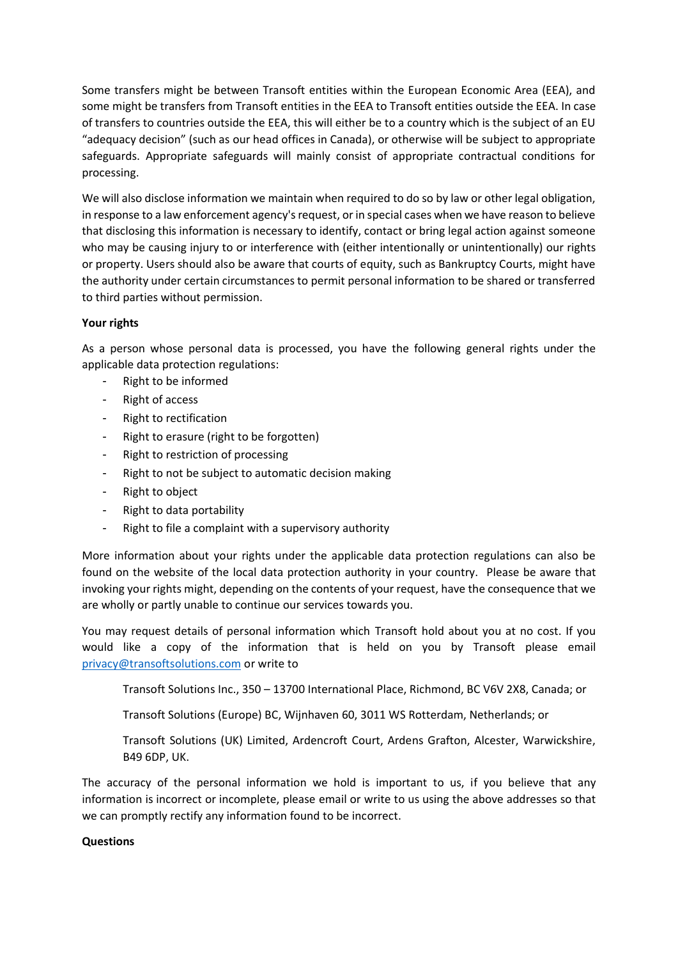Some transfers might be between Transoft entities within the European Economic Area (EEA), and some might be transfers from Transoft entities in the EEA to Transoft entities outside the EEA. In case of transfers to countries outside the EEA, this will either be to a country which is the subject of an EU "adequacy decision" (such as our head offices in Canada), or otherwise will be subject to appropriate safeguards. Appropriate safeguards will mainly consist of appropriate contractual conditions for processing.

We will also disclose information we maintain when required to do so by law or other legal obligation, in response to a law enforcement agency's request, or in special cases when we have reason to believe that disclosing this information is necessary to identify, contact or bring legal action against someone who may be causing injury to or interference with (either intentionally or unintentionally) our rights or property. Users should also be aware that courts of equity, such as Bankruptcy Courts, might have the authority under certain circumstances to permit personal information to be shared or transferred to third parties without permission.

## **Your rights**

As a person whose personal data is processed, you have the following general rights under the applicable data protection regulations:

- Right to be informed
- Right of access
- Right to rectification
- Right to erasure (right to be forgotten)
- Right to restriction of processing
- Right to not be subject to automatic decision making
- Right to object
- Right to data portability
- Right to file a complaint with a supervisory authority

More information about your rights under the applicable data protection regulations can also be found on the website of the local data protection authority in your country. Please be aware that invoking your rights might, depending on the contents of your request, have the consequence that we are wholly or partly unable to continue our services towards you.

You may request details of personal information which Transoft hold about you at no cost. If you would like a copy of the information that is held on you by Transoft please email [privacy@transoftsolutions.com](mailto:privacy@transoftsolutions.com) or write to

Transoft Solutions Inc., 350 – 13700 International Place, Richmond, BC V6V 2X8, Canada; or

Transoft Solutions (Europe) BC, Wijnhaven 60, 3011 WS Rotterdam, Netherlands; or

Transoft Solutions (UK) Limited, Ardencroft Court, Ardens Grafton, Alcester, Warwickshire, B49 6DP, UK.

The accuracy of the personal information we hold is important to us, if you believe that any information is incorrect or incomplete, please email or write to us using the above addresses so that we can promptly rectify any information found to be incorrect.

#### **Questions**